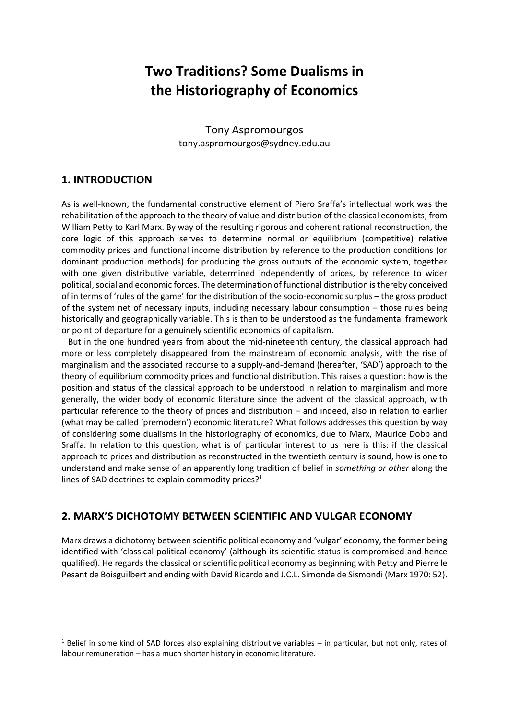# **Two Traditions? Some Dualisms in the Historiography of Economics**

Tony Aspromourgos tony.aspromourgos@sydney.edu.au

### **1. INTRODUCTION**

1

As is well-known, the fundamental constructive element of Piero Sraffa's intellectual work was the rehabilitation of the approach to the theory of value and distribution of the classical economists, from William Petty to Karl Marx. By way of the resulting rigorous and coherent rational reconstruction, the core logic of this approach serves to determine normal or equilibrium (competitive) relative commodity prices and functional income distribution by reference to the production conditions (or dominant production methods) for producing the gross outputs of the economic system, together with one given distributive variable, determined independently of prices, by reference to wider political, social and economic forces. The determination of functional distribution is thereby conceived of in terms of 'rules of the game' for the distribution of the socio-economic surplus – the gross product of the system net of necessary inputs, including necessary labour consumption – those rules being historically and geographically variable. This is then to be understood as the fundamental framework or point of departure for a genuinely scientific economics of capitalism.

 But in the one hundred years from about the mid-nineteenth century, the classical approach had more or less completely disappeared from the mainstream of economic analysis, with the rise of marginalism and the associated recourse to a supply-and-demand (hereafter, 'SAD') approach to the theory of equilibrium commodity prices and functional distribution. This raises a question: how is the position and status of the classical approach to be understood in relation to marginalism and more generally, the wider body of economic literature since the advent of the classical approach, with particular reference to the theory of prices and distribution – and indeed, also in relation to earlier (what may be called 'premodern') economic literature? What follows addresses this question by way of considering some dualisms in the historiography of economics, due to Marx, Maurice Dobb and Sraffa. In relation to this question, what is of particular interest to us here is this: if the classical approach to prices and distribution as reconstructed in the twentieth century is sound, how is one to understand and make sense of an apparently long tradition of belief in *something or other* along the lines of SAD doctrines to explain commodity prices?<sup>1</sup>

# **2. MARX'S DICHOTOMY BETWEEN SCIENTIFIC AND VULGAR ECONOMY**

Marx draws a dichotomy between scientific political economy and 'vulgar' economy, the former being identified with 'classical political economy' (although its scientific status is compromised and hence qualified). He regards the classical or scientific political economy as beginning with Petty and Pierre le Pesant de Boisguilbert and ending with David Ricardo and J.C.L. Simonde de Sismondi (Marx 1970: 52).

 $1$  Belief in some kind of SAD forces also explaining distributive variables – in particular, but not only, rates of labour remuneration – has a much shorter history in economic literature.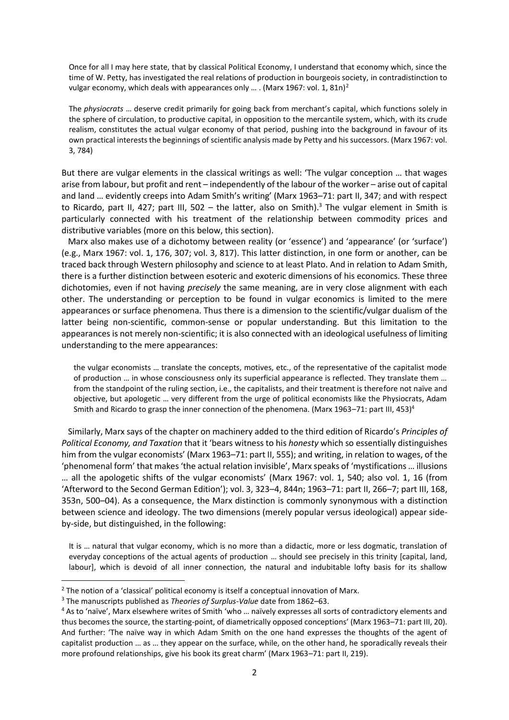Once for all I may here state, that by classical Political Economy, I understand that economy which, since the time of W. Petty, has investigated the real relations of production in bourgeois society, in contradistinction to vulgar economy, which deals with appearances only ... . (Marx 1967: vol. 1, 81n)<sup>2</sup>

The *physiocrats* … deserve credit primarily for going back from merchant's capital, which functions solely in the sphere of circulation, to productive capital, in opposition to the mercantile system, which, with its crude realism, constitutes the actual vulgar economy of that period, pushing into the background in favour of its own practical interests the beginnings of scientific analysis made by Petty and his successors. (Marx 1967: vol. 3, 784)

But there are vulgar elements in the classical writings as well: 'The vulgar conception … that wages arise from labour, but profit and rent – independently of the labour of the worker – arise out of capital and land … evidently creeps into Adam Smith's writing' (Marx 1963–71: part II, 347; and with respect to Ricardo, part II, 427; part III, 502 – the latter, also on Smith).<sup>3</sup> The vulgar element in Smith is particularly connected with his treatment of the relationship between commodity prices and distributive variables (more on this below, this section).

 Marx also makes use of a dichotomy between reality (or 'essence') and 'appearance' (or 'surface') (e.g., Marx 1967: vol. 1, 176, 307; vol. 3, 817). This latter distinction, in one form or another, can be traced back through Western philosophy and science to at least Plato. And in relation to Adam Smith, there is a further distinction between esoteric and exoteric dimensions of his economics. These three dichotomies, even if not having *precisely* the same meaning, are in very close alignment with each other. The understanding or perception to be found in vulgar economics is limited to the mere appearances or surface phenomena. Thus there is a dimension to the scientific/vulgar dualism of the latter being non-scientific, common-sense or popular understanding. But this limitation to the appearances is not merely non-scientific; it is also connected with an ideological usefulness of limiting understanding to the mere appearances:

the vulgar economists … translate the concepts, motives, etc., of the representative of the capitalist mode of production … in whose consciousness only its superficial appearance is reflected. They translate them … from the standpoint of the ruling section, i.e., the capitalists, and their treatment is therefore not naïve and objective, but apologetic … very different from the urge of political economists like the Physiocrats, Adam Smith and Ricardo to grasp the inner connection of the phenomena. (Marx 1963–71: part III, 453)<sup>4</sup>

 Similarly, Marx says of the chapter on machinery added to the third edition of Ricardo's *Principles of Political Economy, and Taxation* that it 'bears witness to his *honesty* which so essentially distinguishes him from the vulgar economists' (Marx 1963–71: part II, 555); and writing, in relation to wages, of the 'phenomenal form' that makes 'the actual relation invisible', Marx speaks of 'mystifications … illusions … all the apologetic shifts of the vulgar economists' (Marx 1967: vol. 1, 540; also vol. 1, 16 (from 'Afterword to the Second German Edition'); vol. 3, 323–4, 844n; 1963–71: part II, 266–7; part III, 168, 353n, 500–04). As a consequence, the Marx distinction is commonly synonymous with a distinction between science and ideology. The two dimensions (merely popular versus ideological) appear sideby-side, but distinguished, in the following:

It is … natural that vulgar economy, which is no more than a didactic, more or less dogmatic, translation of everyday conceptions of the actual agents of production … should see precisely in this trinity [capital, land, labour], which is devoid of all inner connection, the natural and indubitable lofty basis for its shallow

 $\overline{a}$ 

 $2$  The notion of a 'classical' political economy is itself a conceptual innovation of Marx.

<sup>3</sup> The manuscripts published as *Theories of Surplus-Value* date from 1862–63.

<sup>4</sup> As to 'naïve', Marx elsewhere writes of Smith 'who … naïvely expresses all sorts of contradictory elements and thus becomes the source, the starting-point, of diametrically opposed conceptions' (Marx 1963–71: part III, 20). And further: 'The naïve way in which Adam Smith on the one hand expresses the thoughts of the agent of capitalist production … as … they appear on the surface, while, on the other hand, he sporadically reveals their more profound relationships, give his book its great charm' (Marx 1963–71: part II, 219).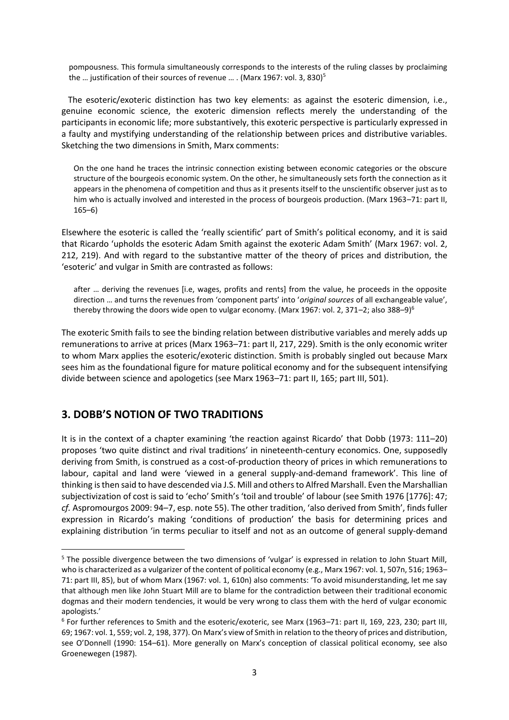pompousness. This formula simultaneously corresponds to the interests of the ruling classes by proclaiming the ... justification of their sources of revenue ... . (Marx 1967: vol. 3, 830)<sup>5</sup>

 The esoteric/exoteric distinction has two key elements: as against the esoteric dimension, i.e., genuine economic science, the exoteric dimension reflects merely the understanding of the participants in economic life; more substantively, this exoteric perspective is particularly expressed in a faulty and mystifying understanding of the relationship between prices and distributive variables. Sketching the two dimensions in Smith, Marx comments:

On the one hand he traces the intrinsic connection existing between economic categories or the obscure structure of the bourgeois economic system. On the other, he simultaneously sets forth the connection as it appears in the phenomena of competition and thus as it presents itself to the unscientific observer just as to him who is actually involved and interested in the process of bourgeois production. (Marx 1963-71: part II, 165–6)

Elsewhere the esoteric is called the 'really scientific' part of Smith's political economy, and it is said that Ricardo 'upholds the esoteric Adam Smith against the exoteric Adam Smith' (Marx 1967: vol. 2, 212, 219). And with regard to the substantive matter of the theory of prices and distribution, the 'esoteric' and vulgar in Smith are contrasted as follows:

after … deriving the revenues [i.e, wages, profits and rents] from the value, he proceeds in the opposite direction … and turns the revenues from 'component parts' into '*original sources* of all exchangeable value', thereby throwing the doors wide open to vulgar economy. (Marx 1967: vol. 2, 371–2; also 388–9)<sup>6</sup>

The exoteric Smith fails to see the binding relation between distributive variables and merely adds up remunerations to arrive at prices (Marx 1963–71: part II, 217, 229). Smith is the only economic writer to whom Marx applies the esoteric/exoteric distinction. Smith is probably singled out because Marx sees him as the foundational figure for mature political economy and for the subsequent intensifying divide between science and apologetics (see Marx 1963–71: part II, 165; part III, 501).

# **3. DOBB'S NOTION OF TWO TRADITIONS**

**.** 

It is in the context of a chapter examining 'the reaction against Ricardo' that Dobb (1973: 111–20) proposes 'two quite distinct and rival traditions' in nineteenth-century economics. One, supposedly deriving from Smith, is construed as a cost-of-production theory of prices in which remunerations to labour, capital and land were 'viewed in a general supply-and-demand framework'. This line of thinking is then said to have descended via J.S. Mill and others to Alfred Marshall. Even the Marshallian subjectivization of cost is said to 'echo' Smith's 'toil and trouble' of labour (see Smith 1976 [1776]: 47; *cf.* Aspromourgos 2009: 94–7, esp. note 55). The other tradition, 'also derived from Smith', finds fuller expression in Ricardo's making 'conditions of production' the basis for determining prices and explaining distribution 'in terms peculiar to itself and not as an outcome of general supply-demand

<sup>5</sup> The possible divergence between the two dimensions of 'vulgar' is expressed in relation to John Stuart Mill, who is characterized as a vulgarizer of the content of political economy (e.g., Marx 1967: vol. 1, 507n, 516; 1963– 71: part III, 85), but of whom Marx (1967: vol. 1, 610n) also comments: 'To avoid misunderstanding, let me say that although men like John Stuart Mill are to blame for the contradiction between their traditional economic dogmas and their modern tendencies, it would be very wrong to class them with the herd of vulgar economic apologists.'

<sup>6</sup> For further references to Smith and the esoteric/exoteric, see Marx (1963–71: part II, 169, 223, 230; part III, 69; 1967: vol. 1, 559; vol. 2, 198, 377). On Marx's view of Smith in relation to the theory of prices and distribution, see O'Donnell (1990: 154–61). More generally on Marx's conception of classical political economy, see also Groenewegen (1987).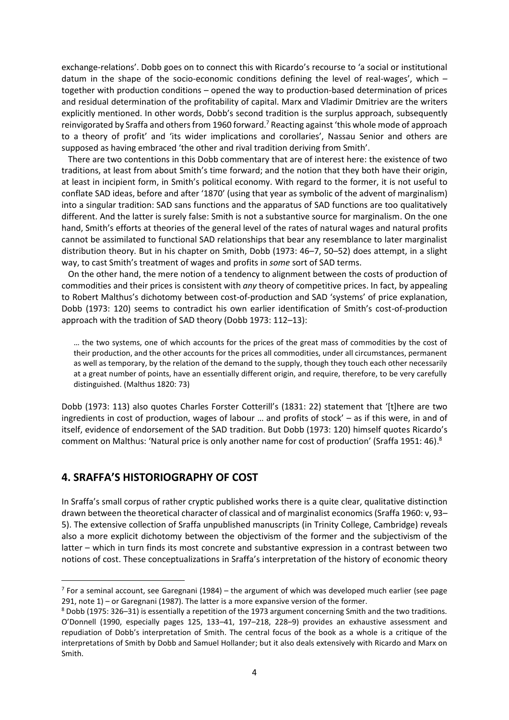exchange-relations'. Dobb goes on to connect this with Ricardo's recourse to 'a social or institutional datum in the shape of the socio-economic conditions defining the level of real-wages', which – together with production conditions – opened the way to production-based determination of prices and residual determination of the profitability of capital. Marx and Vladimir Dmitriev are the writers explicitly mentioned. In other words, Dobb's second tradition is the surplus approach, subsequently reinvigorated by Sraffa and others from 1960 forward.<sup>7</sup> Reacting against 'this whole mode of approach to a theory of profit' and 'its wider implications and corollaries', Nassau Senior and others are supposed as having embraced 'the other and rival tradition deriving from Smith'.

 There are two contentions in this Dobb commentary that are of interest here: the existence of two traditions, at least from about Smith's time forward; and the notion that they both have their origin, at least in incipient form, in Smith's political economy. With regard to the former, it is not useful to conflate SAD ideas, before and after '1870' (using that year as symbolic of the advent of marginalism) into a singular tradition: SAD sans functions and the apparatus of SAD functions are too qualitatively different. And the latter is surely false: Smith is not a substantive source for marginalism. On the one hand, Smith's efforts at theories of the general level of the rates of natural wages and natural profits cannot be assimilated to functional SAD relationships that bear any resemblance to later marginalist distribution theory. But in his chapter on Smith, Dobb (1973: 46–7, 50–52) does attempt, in a slight way, to cast Smith's treatment of wages and profits in *some* sort of SAD terms.

 On the other hand, the mere notion of a tendency to alignment between the costs of production of commodities and their prices is consistent with *any* theory of competitive prices. In fact, by appealing to Robert Malthus's dichotomy between cost-of-production and SAD 'systems' of price explanation, Dobb (1973: 120) seems to contradict his own earlier identification of Smith's cost-of-production approach with the tradition of SAD theory (Dobb 1973: 112–13):

… the two systems, one of which accounts for the prices of the great mass of commodities by the cost of their production, and the other accounts for the prices all commodities, under all circumstances, permanent as well as temporary, by the relation of the demand to the supply, though they touch each other necessarily at a great number of points, have an essentially different origin, and require, therefore, to be very carefully distinguished. (Malthus 1820: 73)

Dobb (1973: 113) also quotes Charles Forster Cotterill's (1831: 22) statement that '[t]here are two ingredients in cost of production, wages of labour … and profits of stock' – as if this were, in and of itself, evidence of endorsement of the SAD tradition. But Dobb (1973: 120) himself quotes Ricardo's comment on Malthus: 'Natural price is only another name for cost of production' (Sraffa 1951: 46).<sup>8</sup>

#### **4. SRAFFA'S HISTORIOGRAPHY OF COST**

 $\overline{a}$ 

In Sraffa's small corpus of rather cryptic published works there is a quite clear, qualitative distinction drawn between the theoretical character of classical and of marginalist economics (Sraffa 1960: v, 93– 5). The extensive collection of Sraffa unpublished manuscripts (in Trinity College, Cambridge) reveals also a more explicit dichotomy between the objectivism of the former and the subjectivism of the latter – which in turn finds its most concrete and substantive expression in a contrast between two notions of cost. These conceptualizations in Sraffa's interpretation of the history of economic theory

 $<sup>7</sup>$  For a seminal account, see Garegnani (1984) – the argument of which was developed much earlier (see page</sup> 291, note 1) – or Garegnani (1987). The latter is a more expansive version of the former.

<sup>8</sup> Dobb (1975: 326–31) is essentially a repetition of the 1973 argument concerning Smith and the two traditions. O'Donnell (1990, especially pages 125, 133–41, 197–218, 228–9) provides an exhaustive assessment and repudiation of Dobb's interpretation of Smith. The central focus of the book as a whole is a critique of the interpretations of Smith by Dobb and Samuel Hollander; but it also deals extensively with Ricardo and Marx on Smith.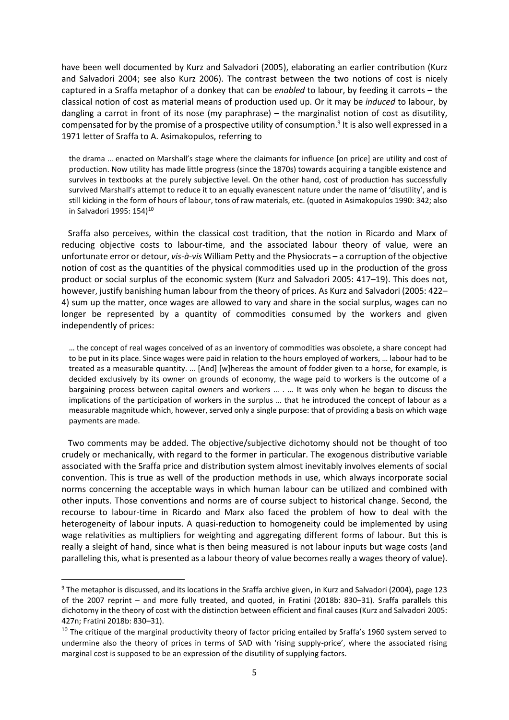have been well documented by Kurz and Salvadori (2005), elaborating an earlier contribution (Kurz and Salvadori 2004; see also Kurz 2006). The contrast between the two notions of cost is nicely captured in a Sraffa metaphor of a donkey that can be *enabled* to labour, by feeding it carrots – the classical notion of cost as material means of production used up. Or it may be *induced* to labour, by dangling a carrot in front of its nose (my paraphrase) – the marginalist notion of cost as disutility, compensated for by the promise of a prospective utility of consumption. 9 It is also well expressed in a 1971 letter of Sraffa to A. Asimakopulos, referring to

the drama … enacted on Marshall's stage where the claimants for influence [on price] are utility and cost of production. Now utility has made little progress (since the 1870s) towards acquiring a tangible existence and survives in textbooks at the purely subjective level. On the other hand, cost of production has successfully survived Marshall's attempt to reduce it to an equally evanescent nature under the name of 'disutility', and is still kicking in the form of hours of labour, tons of raw materials, etc. (quoted in Asimakopulos 1990: 342; also in Salvadori 1995: 154)<sup>10</sup>

 Sraffa also perceives, within the classical cost tradition, that the notion in Ricardo and Marx of reducing objective costs to labour-time, and the associated labour theory of value, were an unfortunate error or detour, *vis-à-vis* William Petty and the Physiocrats – a corruption of the objective notion of cost as the quantities of the physical commodities used up in the production of the gross product or social surplus of the economic system (Kurz and Salvadori 2005: 417–19). This does not, however, justify banishing human labour from the theory of prices. As Kurz and Salvadori (2005: 422– 4) sum up the matter, once wages are allowed to vary and share in the social surplus, wages can no longer be represented by a quantity of commodities consumed by the workers and given independently of prices:

… the concept of real wages conceived of as an inventory of commodities was obsolete, a share concept had to be put in its place. Since wages were paid in relation to the hours employed of workers, … labour had to be treated as a measurable quantity. … [And] [w]hereas the amount of fodder given to a horse, for example, is decided exclusively by its owner on grounds of economy, the wage paid to workers is the outcome of a bargaining process between capital owners and workers … . … It was only when he began to discuss the implications of the participation of workers in the surplus … that he introduced the concept of labour as a measurable magnitude which, however, served only a single purpose: that of providing a basis on which wage payments are made.

 Two comments may be added. The objective/subjective dichotomy should not be thought of too crudely or mechanically, with regard to the former in particular. The exogenous distributive variable associated with the Sraffa price and distribution system almost inevitably involves elements of social convention. This is true as well of the production methods in use, which always incorporate social norms concerning the acceptable ways in which human labour can be utilized and combined with other inputs. Those conventions and norms are of course subject to historical change. Second, the recourse to labour-time in Ricardo and Marx also faced the problem of how to deal with the heterogeneity of labour inputs. A quasi-reduction to homogeneity could be implemented by using wage relativities as multipliers for weighting and aggregating different forms of labour. But this is really a sleight of hand, since what is then being measured is not labour inputs but wage costs (and paralleling this, what is presented as a labour theory of value becomes really a wages theory of value).

1

<sup>9</sup> The metaphor is discussed, and its locations in the Sraffa archive given, in Kurz and Salvadori (2004), page 123 of the 2007 reprint – and more fully treated, and quoted, in Fratini (2018b: 830–31). Sraffa parallels this dichotomy in the theory of cost with the distinction between efficient and final causes (Kurz and Salvadori 2005: 427n; Fratini 2018b: 830–31).

 $10$  The critique of the marginal productivity theory of factor pricing entailed by Sraffa's 1960 system served to undermine also the theory of prices in terms of SAD with 'rising supply-price', where the associated rising marginal cost is supposed to be an expression of the disutility of supplying factors.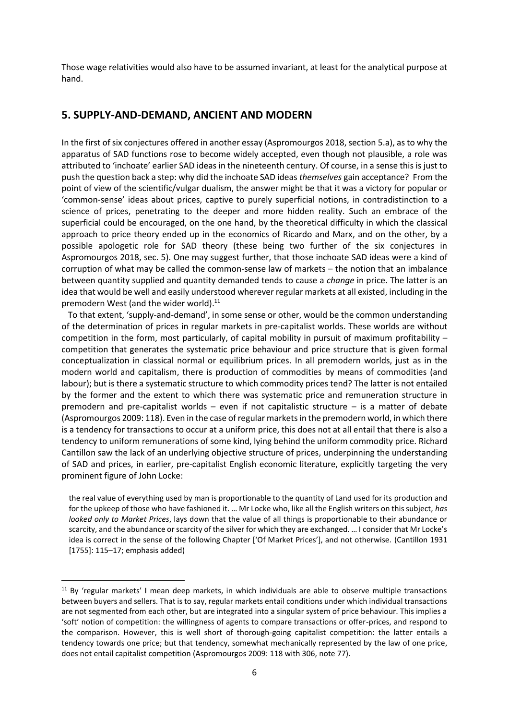Those wage relativities would also have to be assumed invariant, at least for the analytical purpose at hand.

#### **5. SUPPLY-AND-DEMAND, ANCIENT AND MODERN**

In the first of six conjectures offered in another essay (Aspromourgos 2018, section 5.a), as to why the apparatus of SAD functions rose to become widely accepted, even though not plausible, a role was attributed to 'inchoate' earlier SAD ideas in the nineteenth century. Of course, in a sense this is just to push the question back a step: why did the inchoate SAD ideas *themselves* gain acceptance? From the point of view of the scientific/vulgar dualism, the answer might be that it was a victory for popular or 'common-sense' ideas about prices, captive to purely superficial notions, in contradistinction to a science of prices, penetrating to the deeper and more hidden reality. Such an embrace of the superficial could be encouraged, on the one hand, by the theoretical difficulty in which the classical approach to price theory ended up in the economics of Ricardo and Marx, and on the other, by a possible apologetic role for SAD theory (these being two further of the six conjectures in Aspromourgos 2018, sec. 5). One may suggest further, that those inchoate SAD ideas were a kind of corruption of what may be called the common-sense law of markets – the notion that an imbalance between quantity supplied and quantity demanded tends to cause a *change* in price. The latter is an idea that would be well and easily understood wherever regular markets at all existed, including in the premodern West (and the wider world).<sup>11</sup>

 To that extent, 'supply-and-demand', in some sense or other, would be the common understanding of the determination of prices in regular markets in pre-capitalist worlds. These worlds are without competition in the form, most particularly, of capital mobility in pursuit of maximum profitability – competition that generates the systematic price behaviour and price structure that is given formal conceptualization in classical normal or equilibrium prices. In all premodern worlds, just as in the modern world and capitalism, there is production of commodities by means of commodities (and labour); but is there a systematic structure to which commodity prices tend? The latter is not entailed by the former and the extent to which there was systematic price and remuneration structure in premodern and pre-capitalist worlds – even if not capitalistic structure – is a matter of debate (Aspromourgos 2009: 118). Even in the case of regular markets in the premodern world, in which there is a tendency for transactions to occur at a uniform price, this does not at all entail that there is also a tendency to uniform remunerations of some kind, lying behind the uniform commodity price. Richard Cantillon saw the lack of an underlying objective structure of prices, underpinning the understanding of SAD and prices, in earlier, pre-capitalist English economic literature, explicitly targeting the very prominent figure of John Locke:

the real value of everything used by man is proportionable to the quantity of Land used for its production and for the upkeep of those who have fashioned it. … Mr Locke who, like all the English writers on this subject, *has looked only to Market Prices*, lays down that the value of all things is proportionable to their abundance or scarcity, and the abundance or scarcity of the silver for which they are exchanged. … I consider that Mr Locke's idea is correct in the sense of the following Chapter ['Of Market Prices'], and not otherwise. (Cantillon 1931 [1755]: 115–17; emphasis added)

 $\overline{a}$ 

 $11$  By 'regular markets' I mean deep markets, in which individuals are able to observe multiple transactions between buyers and sellers. That is to say, regular markets entail conditions under which individual transactions are not segmented from each other, but are integrated into a singular system of price behaviour. This implies a 'soft' notion of competition: the willingness of agents to compare transactions or offer-prices, and respond to the comparison. However, this is well short of thorough-going capitalist competition: the latter entails a tendency towards one price; but that tendency, somewhat mechanically represented by the law of one price, does not entail capitalist competition (Aspromourgos 2009: 118 with 306, note 77).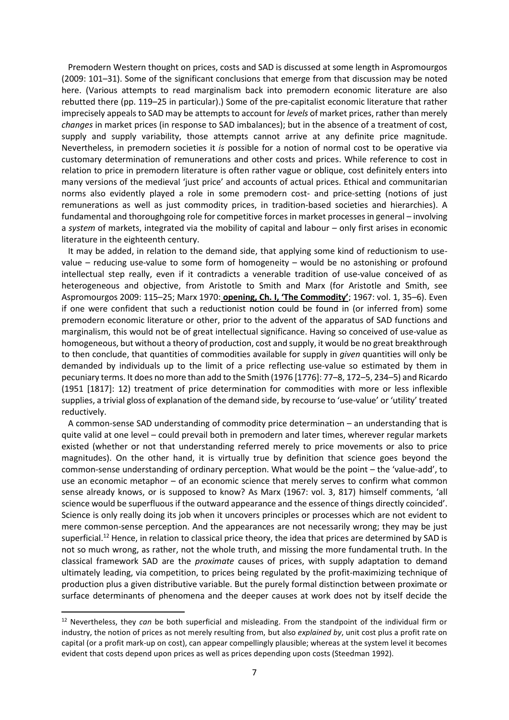Premodern Western thought on prices, costs and SAD is discussed at some length in Aspromourgos (2009: 101–31). Some of the significant conclusions that emerge from that discussion may be noted here. (Various attempts to read marginalism back into premodern economic literature are also rebutted there (pp. 119–25 in particular).) Some of the pre-capitalist economic literature that rather imprecisely appeals to SAD may be attempts to account for *levels* of market prices, rather than merely *changes* in market prices (in response to SAD imbalances); but in the absence of a treatment of cost, supply and supply variability, those attempts cannot arrive at any definite price magnitude. Nevertheless, in premodern societies it *is* possible for a notion of normal cost to be operative via customary determination of remunerations and other costs and prices. While reference to cost in relation to price in premodern literature is often rather vague or oblique, cost definitely enters into many versions of the medieval 'just price' and accounts of actual prices. Ethical and communitarian norms also evidently played a role in some premodern cost- and price-setting (notions of just remunerations as well as just commodity prices, in tradition-based societies and hierarchies). A fundamental and thoroughgoing role for competitive forces in market processes in general – involving a *system* of markets, integrated via the mobility of capital and labour – only first arises in economic literature in the eighteenth century.

 It may be added, in relation to the demand side, that applying some kind of reductionism to usevalue – reducing use-value to some form of homogeneity – would be no astonishing or profound intellectual step really, even if it contradicts a venerable tradition of use-value conceived of as heterogeneous and objective, from Aristotle to Smith and Marx (for Aristotle and Smith, see Aspromourgos 2009: 115–25; Marx 1970: **opening, Ch. I, 'The Commodity'**; 1967: vol. 1, 35–6). Even if one were confident that such a reductionist notion could be found in (or inferred from) some premodern economic literature or other, prior to the advent of the apparatus of SAD functions and marginalism, this would not be of great intellectual significance. Having so conceived of use-value as homogeneous, but without a theory of production, cost and supply, it would be no great breakthrough to then conclude, that quantities of commodities available for supply in *given* quantities will only be demanded by individuals up to the limit of a price reflecting use-value so estimated by them in pecuniary terms. It does no more than add to the Smith (1976 [1776]: 77–8, 172–5, 234–5) and Ricardo (1951 [1817]: 12) treatment of price determination for commodities with more or less inflexible supplies, a trivial gloss of explanation of the demand side, by recourse to 'use-value' or 'utility' treated reductively.

 A common-sense SAD understanding of commodity price determination – an understanding that is quite valid at one level – could prevail both in premodern and later times, wherever regular markets existed (whether or not that understanding referred merely to price movements or also to price magnitudes). On the other hand, it is virtually true by definition that science goes beyond the common-sense understanding of ordinary perception. What would be the point – the 'value-add', to use an economic metaphor – of an economic science that merely serves to confirm what common sense already knows, or is supposed to know? As Marx (1967: vol. 3, 817) himself comments, 'all science would be superfluous if the outward appearance and the essence of things directly coincided'. Science is only really doing its job when it uncovers principles or processes which are not evident to mere common-sense perception. And the appearances are not necessarily wrong; they may be just superficial.<sup>12</sup> Hence, in relation to classical price theory, the idea that prices are determined by SAD is not so much wrong, as rather, not the whole truth, and missing the more fundamental truth. In the classical framework SAD are the *proximate* causes of prices, with supply adaptation to demand ultimately leading, via competition, to prices being regulated by the profit-maximizing technique of production plus a given distributive variable. But the purely formal distinction between proximate or surface determinants of phenomena and the deeper causes at work does not by itself decide the

**.** 

<sup>12</sup> Nevertheless, they *can* be both superficial and misleading. From the standpoint of the individual firm or industry, the notion of prices as not merely resulting from, but also *explained by*, unit cost plus a profit rate on capital (or a profit mark-up on cost), can appear compellingly plausible; whereas at the system level it becomes evident that costs depend upon prices as well as prices depending upon costs (Steedman 1992).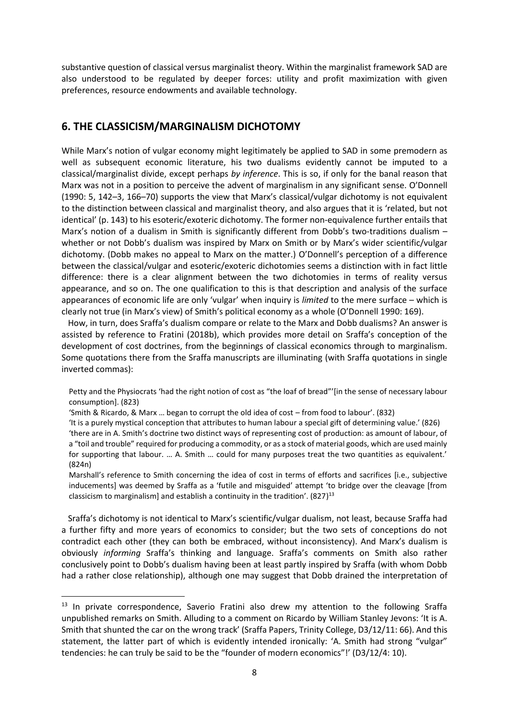substantive question of classical versus marginalist theory. Within the marginalist framework SAD are also understood to be regulated by deeper forces: utility and profit maximization with given preferences, resource endowments and available technology.

# **6. THE CLASSICISM/MARGINALISM DICHOTOMY**

While Marx's notion of vulgar economy might legitimately be applied to SAD in some premodern as well as subsequent economic literature, his two dualisms evidently cannot be imputed to a classical/marginalist divide, except perhaps *by inference*. This is so, if only for the banal reason that Marx was not in a position to perceive the advent of marginalism in any significant sense. O'Donnell (1990: 5, 142–3, 166–70) supports the view that Marx's classical/vulgar dichotomy is not equivalent to the distinction between classical and marginalist theory, and also argues that it is 'related, but not identical' (p. 143) to his esoteric/exoteric dichotomy. The former non-equivalence further entails that Marx's notion of a dualism in Smith is significantly different from Dobb's two-traditions dualism whether or not Dobb's dualism was inspired by Marx on Smith or by Marx's wider scientific/vulgar dichotomy. (Dobb makes no appeal to Marx on the matter.) O'Donnell's perception of a difference between the classical/vulgar and esoteric/exoteric dichotomies seems a distinction with in fact little difference: there is a clear alignment between the two dichotomies in terms of reality versus appearance, and so on. The one qualification to this is that description and analysis of the surface appearances of economic life are only 'vulgar' when inquiry is *limited* to the mere surface – which is clearly not true (in Marx's view) of Smith's political economy as a whole (O'Donnell 1990: 169).

 How, in turn, does Sraffa's dualism compare or relate to the Marx and Dobb dualisms? An answer is assisted by reference to Fratini (2018b), which provides more detail on Sraffa's conception of the development of cost doctrines, from the beginnings of classical economics through to marginalism. Some quotations there from the Sraffa manuscripts are illuminating (with Sraffa quotations in single inverted commas):

Petty and the Physiocrats 'had the right notion of cost as "the loaf of bread"'[in the sense of necessary labour consumption]. (823)

'Smith & Ricardo, & Marx … began to corrupt the old idea of cost – from food to labour'. (832)

'It is a purely mystical conception that attributes to human labour a special gift of determining value.' (826)

'there are in A. Smith's doctrine two distinct ways of representing cost of production: as amount of labour, of a "toil and trouble" required for producing a commodity, or as a stock of material goods, which are used mainly for supporting that labour. … A. Smith … could for many purposes treat the two quantities as equivalent.' (824n)

Marshall's reference to Smith concerning the idea of cost in terms of efforts and sacrifices [i.e., subjective inducements] was deemed by Sraffa as a 'futile and misguided' attempt 'to bridge over the cleavage [from classicism to marginalism] and establish a continuity in the tradition'. (827)<sup>13</sup>

 Sraffa's dichotomy is not identical to Marx's scientific/vulgar dualism, not least, because Sraffa had a further fifty and more years of economics to consider; but the two sets of conceptions do not contradict each other (they can both be embraced, without inconsistency). And Marx's dualism is obviously *informing* Sraffa's thinking and language. Sraffa's comments on Smith also rather conclusively point to Dobb's dualism having been at least partly inspired by Sraffa (with whom Dobb had a rather close relationship), although one may suggest that Dobb drained the interpretation of

**.** 

<sup>&</sup>lt;sup>13</sup> In private correspondence, Saverio Fratini also drew my attention to the following Sraffa unpublished remarks on Smith. Alluding to a comment on Ricardo by William Stanley Jevons: 'It is A. Smith that shunted the car on the wrong track' (Sraffa Papers, Trinity College, D3/12/11: 66). And this statement, the latter part of which is evidently intended ironically: 'A. Smith had strong "vulgar" tendencies: he can truly be said to be the "founder of modern economics"!' (D3/12/4: 10).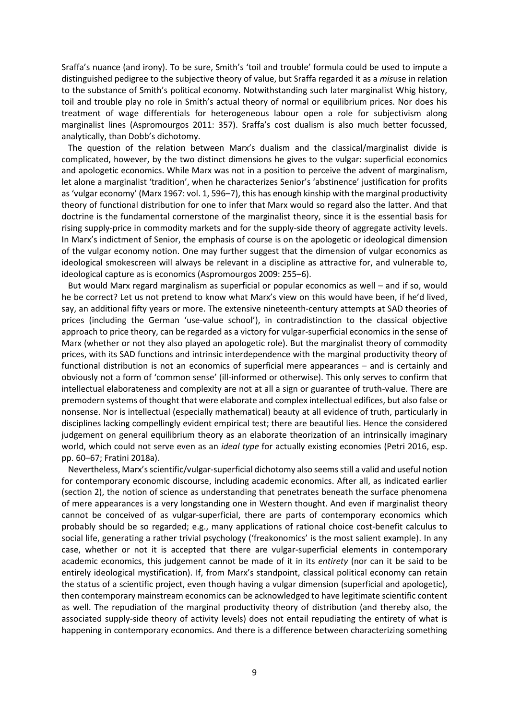Sraffa's nuance (and irony). To be sure, Smith's 'toil and trouble' formula could be used to impute a distinguished pedigree to the subjective theory of value, but Sraffa regarded it as a *mis*use in relation to the substance of Smith's political economy. Notwithstanding such later marginalist Whig history, toil and trouble play no role in Smith's actual theory of normal or equilibrium prices. Nor does his treatment of wage differentials for heterogeneous labour open a role for subjectivism along marginalist lines (Aspromourgos 2011: 357). Sraffa's cost dualism is also much better focussed, analytically, than Dobb's dichotomy.

 The question of the relation between Marx's dualism and the classical/marginalist divide is complicated, however, by the two distinct dimensions he gives to the vulgar: superficial economics and apologetic economics. While Marx was not in a position to perceive the advent of marginalism, let alone a marginalist 'tradition', when he characterizes Senior's 'abstinence' justification for profits as 'vulgar economy' (Marx 1967: vol. 1, 596–7), this has enough kinship with the marginal productivity theory of functional distribution for one to infer that Marx would so regard also the latter. And that doctrine is the fundamental cornerstone of the marginalist theory, since it is the essential basis for rising supply-price in commodity markets and for the supply-side theory of aggregate activity levels. In Marx's indictment of Senior, the emphasis of course is on the apologetic or ideological dimension of the vulgar economy notion. One may further suggest that the dimension of vulgar economics as ideological smokescreen will always be relevant in a discipline as attractive for, and vulnerable to, ideological capture as is economics (Aspromourgos 2009: 255–6).

 But would Marx regard marginalism as superficial or popular economics as well – and if so, would he be correct? Let us not pretend to know what Marx's view on this would have been, if he'd lived, say, an additional fifty years or more. The extensive nineteenth-century attempts at SAD theories of prices (including the German 'use-value school'), in contradistinction to the classical objective approach to price theory, can be regarded as a victory for vulgar-superficial economics in the sense of Marx (whether or not they also played an apologetic role). But the marginalist theory of commodity prices, with its SAD functions and intrinsic interdependence with the marginal productivity theory of functional distribution is not an economics of superficial mere appearances – and is certainly and obviously not a form of 'common sense' (ill-informed or otherwise). This only serves to confirm that intellectual elaborateness and complexity are not at all a sign or guarantee of truth-value. There are premodern systems of thought that were elaborate and complex intellectual edifices, but also false or nonsense. Nor is intellectual (especially mathematical) beauty at all evidence of truth, particularly in disciplines lacking compellingly evident empirical test; there are beautiful lies. Hence the considered judgement on general equilibrium theory as an elaborate theorization of an intrinsically imaginary world, which could not serve even as an *ideal type* for actually existing economies (Petri 2016, esp. pp. 60–67; Fratini 2018a).

 Nevertheless, Marx's scientific/vulgar-superficial dichotomy also seemsstill a valid and useful notion for contemporary economic discourse, including academic economics. After all, as indicated earlier (section 2), the notion of science as understanding that penetrates beneath the surface phenomena of mere appearances is a very longstanding one in Western thought. And even if marginalist theory cannot be conceived of as vulgar-superficial, there are parts of contemporary economics which probably should be so regarded; e.g., many applications of rational choice cost-benefit calculus to social life, generating a rather trivial psychology ('freakonomics' is the most salient example). In any case, whether or not it is accepted that there are vulgar-superficial elements in contemporary academic economics, this judgement cannot be made of it in its *entirety* (nor can it be said to be entirely ideological mystification). If, from Marx's standpoint, classical political economy can retain the status of a scientific project, even though having a vulgar dimension (superficial and apologetic), then contemporary mainstream economics can be acknowledged to have legitimate scientific content as well. The repudiation of the marginal productivity theory of distribution (and thereby also, the associated supply-side theory of activity levels) does not entail repudiating the entirety of what is happening in contemporary economics. And there is a difference between characterizing something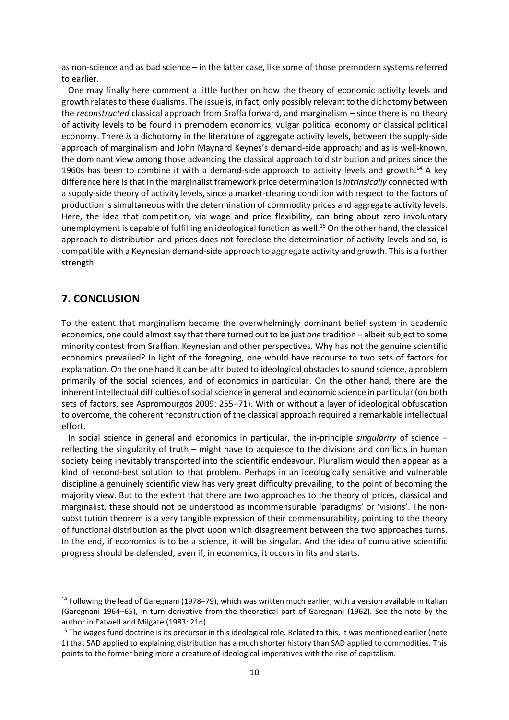as non-science and as bad science – in the latter case, like some of those premodern systems referred to earlier.

 One may finally here comment a little further on how the theory of economic activity levels and growth relates to these dualisms. The issue is, in fact, only possibly relevant to the dichotomy between the *reconstructed* classical approach from Sraffa forward, and marginalism – since there is no theory of activity levels to be found in premodern economics, vulgar political economy or classical political economy. There *is* a dichotomy in the literature of aggregate activity levels, between the supply-side approach of marginalism and John Maynard Keynes's demand-side approach; and as is well-known, the dominant view among those advancing the classical approach to distribution and prices since the 1960s has been to combine it with a demand-side approach to activity levels and growth.<sup>14</sup> A key difference here is that in the marginalist framework price determination is *intrinsically* connected with a supply-side theory of activity levels, since a market-clearing condition with respect to the factors of production is simultaneous with the determination of commodity prices and aggregate activity levels. Here, the idea that competition, via wage and price flexibility, can bring about zero involuntary unemployment is capable of fulfilling an ideological function as well.<sup>15</sup> On the other hand, the classical approach to distribution and prices does not foreclose the determination of activity levels and so, is compatible with a Keynesian demand-side approach to aggregate activity and growth. This is a further strength.

#### **7. CONCLUSION**

**.** 

To the extent that marginalism became the overwhelmingly dominant belief system in academic economics, one could almost say that there turned out to be just *one* tradition – albeit subject to some minority contest from Sraffian, Keynesian and other perspectives. Why has not the genuine scientific economics prevailed? In light of the foregoing, one would have recourse to two sets of factors for explanation. On the one hand it can be attributed to ideological obstacles to sound science, a problem primarily of the social sciences, and of economics in particular. On the other hand, there are the inherent intellectual difficulties of social science in general and economic science in particular (on both sets of factors, see Aspromourgos 2009: 255–71). With or without a layer of ideological obfuscation to overcome, the coherent reconstruction of the classical approach required a remarkable intellectual effort.

 In social science in general and economics in particular, the in-principle *singularity* of science – reflecting the singularity of truth – might have to acquiesce to the divisions and conflicts in human society being inevitably transported into the scientific endeavour. Pluralism would then appear as a kind of second-best solution to that problem. Perhaps in an ideologically sensitive and vulnerable discipline a genuinely scientific view has very great difficulty prevailing, to the point of becoming the majority view. But to the extent that there are two approaches to the theory of prices, classical and marginalist, these should not be understood as incommensurable 'paradigms' or 'visions'. The nonsubstitution theorem is a very tangible expression of their commensurability, pointing to the theory of functional distribution as the pivot upon which disagreement between the two approaches turns. In the end, if economics is to be a science, it will be singular. And the idea of cumulative scientific progress should be defended, even if, in economics, it occurs in fits and starts.

<sup>&</sup>lt;sup>14</sup> Following the lead of Garegnani (1978–79), which was written much earlier, with a version available in Italian (Garegnani 1964–65), in turn derivative from the theoretical part of Garegnani (1962). See the note by the author in Eatwell and Milgate (1983: 21n).

 $15$  The wages fund doctrine is its precursor in this ideological role. Related to this, it was mentioned earlier (note 1) that SAD applied to explaining distribution has a much shorter history than SAD applied to commodities. This points to the former being more a creature of ideological imperatives with the rise of capitalism.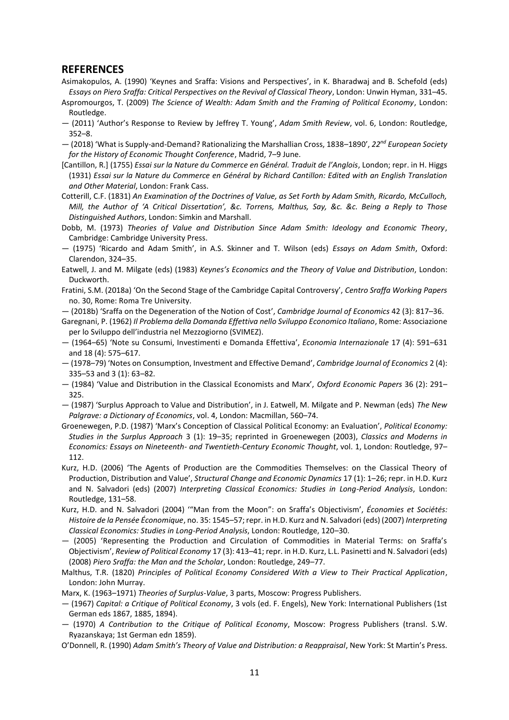#### **REFERENCES**

- Asimakopulos, A. (1990) 'Keynes and Sraffa: Visions and Perspectives', in K. Bharadwaj and B. Schefold (eds) *Essays on Piero Sraffa: Critical Perspectives on the Revival of Classical Theory*, London: Unwin Hyman, 331–45.
- Aspromourgos, T. (2009) *The Science of Wealth: Adam Smith and the Framing of Political Economy*, London: Routledge.
- (2011) 'Author's Response to Review by Jeffrey T. Young', *Adam Smith Review*, vol. 6, London: Routledge, 352–8.
- (2018) 'What is Supply-and-Demand? Rationalizing the Marshallian Cross, 1838–1890', *22nd European Society for the History of Economic Thought Conference*, Madrid, 7–9 June.
- [Cantillon, R.] (1755) *Essai sur la Nature du Commerce en Général. Traduit de l'Anglois*, London; repr. in H. Higgs (1931) *Essai sur la Nature du Commerce en Général by Richard Cantillon: Edited with an English Translation and Other Material*, London: Frank Cass.
- Cotterill, C.F. (1831) *An Examination of the Doctrines of Value, as Set Forth by Adam Smith, Ricardo, McCulloch, Mill, the Author of 'A Critical Dissertation', &c. Torrens, Malthus, Say, &c. &c. Being a Reply to Those Distinguished Authors*, London: Simkin and Marshall.
- Dobb, M. (1973) *Theories of Value and Distribution Since Adam Smith: Ideology and Economic Theory*, Cambridge: Cambridge University Press.
- (1975) 'Ricardo and Adam Smith', in A.S. Skinner and T. Wilson (eds) *Essays on Adam Smith*, Oxford: Clarendon, 324–35.
- Eatwell, J. and M. Milgate (eds) (1983) *Keynes's Economics and the Theory of Value and Distribution*, London: Duckworth.
- Fratini, S.M. (2018a) 'On the Second Stage of the Cambridge Capital Controversy', *Centro Sraffa Working Papers* no. 30, Rome: Roma Tre University.
- (2018b) 'Sraffa on the Degeneration of the Notion of Cost', *Cambridge Journal of Economics* 42 (3): 817–36.
- Garegnani, P. (1962) *Il Problema della Domanda Effettiva nello Sviluppo Economico Italiano*, Rome: Associazione per lo Sviluppo dell'industria nel Mezzogiorno (SVIMEZ).
- (1964–65) 'Note su Consumi, Investimenti e Domanda Effettiva', *Economia Internazionale* 17 (4): 591–631 and 18 (4): 575–617.
- (1978–79) 'Notes on Consumption, Investment and Effective Demand', *Cambridge Journal of Economics* 2 (4): 335–53 and 3 (1): 63–82.
- (1984) 'Value and Distribution in the Classical Economists and Marx', *Oxford Economic Papers* 36 (2): 291– 325.
- (1987) 'Surplus Approach to Value and Distribution', in J. Eatwell, M. Milgate and P. Newman (eds) *The New Palgrave: a Dictionary of Economics*, vol. 4, London: Macmillan, 560–74.
- Groenewegen, P.D. (1987) 'Marx's Conception of Classical Political Economy: an Evaluation', *Political Economy: Studies in the Surplus Approach* 3 (1): 19–35; reprinted in Groenewegen (2003), *Classics and Moderns in Economics: Essays on Nineteenth- and Twentieth-Century Economic Thought*, vol. 1, London: Routledge, 97– 112.
- Kurz, H.D. (2006) 'The Agents of Production are the Commodities Themselves: on the Classical Theory of Production, Distribution and Value', *Structural Change and Economic Dynamics* 17 (1): 1–26; repr. in H.D. Kurz and N. Salvadori (eds) (2007) *Interpreting Classical Economics: Studies in Long-Period Analysis*, London: Routledge, 131–58.
- Kurz, H.D. and N. Salvadori (2004) '"Man from the Moon": on Sraffa's Objectivism', *Économies et Sociétés: Histoire de la Pensée Économique*, no. 35: 1545–57; repr. in H.D. Kurz and N. Salvadori (eds) (2007) *Interpreting Classical Economics: Studies in Long-Period Analysis*, London: Routledge, 120–30.
- (2005) 'Representing the Production and Circulation of Commodities in Material Terms: on Sraffa's Objectivism', *Review of Political Economy* 17 (3): 413–41; repr. in H.D. Kurz, L.L. Pasinetti and N. Salvadori (eds) (2008) *Piero Sraffa: the Man and the Scholar*, London: Routledge, 249–77.
- Malthus, T.R. (1820) *Principles of Political Economy Considered With a View to Their Practical Application*, London: John Murray.
- Marx, K. (1963–1971) *Theories of Surplus-Value*, 3 parts, Moscow: Progress Publishers.
- (1967) *Capital: a Critique of Political Economy*, 3 vols (ed. F. Engels), New York: International Publishers (1st German eds 1867, 1885, 1894).
- (1970) *A Contribution to the Critique of Political Economy*, Moscow: Progress Publishers (transl. S.W. Ryazanskaya; 1st German edn 1859).
- O'Donnell, R. (1990) *Adam Smith's Theory of Value and Distribution: a Reappraisal*, New York: St Martin's Press.